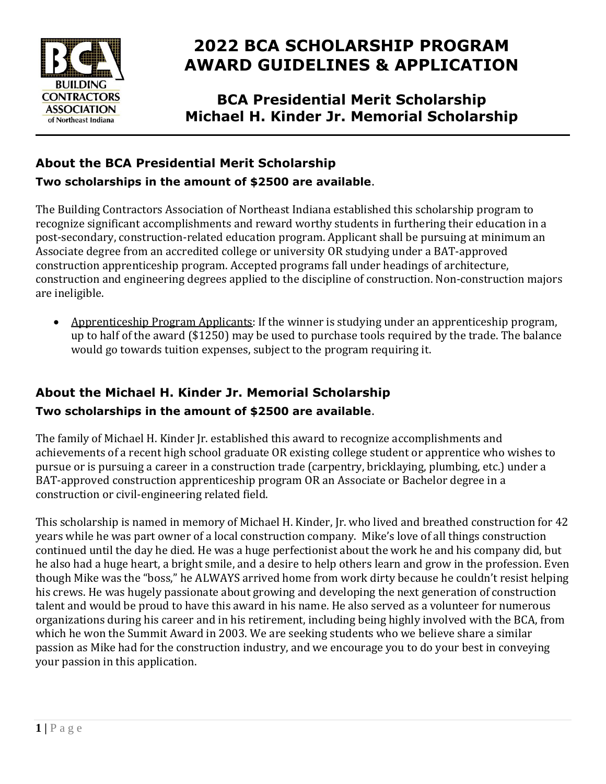

# **2022 BCA SCHOLARSHIP PROGRAM AWARD GUIDELINES & APPLICATION**

**BCA Presidential Merit Scholarship Michael H. Kinder Jr. Memorial Scholarship**

### **About the BCA Presidential Merit Scholarship**

#### **Two scholarships in the amount of \$2500 are available**.

The Building Contractors Association of Northeast Indiana established this scholarship program to recognize significant accomplishments and reward worthy students in furthering their education in a post-secondary, construction-related education program. Applicant shall be pursuing at minimum an Associate degree from an accredited college or university OR studying under a BAT-approved construction apprenticeship program. Accepted programs fall under headings of architecture, construction and engineering degrees applied to the discipline of construction. Non-construction majors are ineligible.

• Apprenticeship Program Applicants: If the winner is studying under an apprenticeship program, up to half of the award (\$1250) may be used to purchase tools required by the trade. The balance would go towards tuition expenses, subject to the program requiring it.

### **About the Michael H. Kinder Jr. Memorial Scholarship Two scholarships in the amount of \$2500 are available**.

The family of Michael H. Kinder Jr. established this award to recognize accomplishments and achievements of a recent high school graduate OR existing college student or apprentice who wishes to pursue or is pursuing a career in a construction trade (carpentry, bricklaying, plumbing, etc.) under a BAT-approved construction apprenticeship program OR an Associate or Bachelor degree in a construction or civil-engineering related field.

This scholarship is named in memory of Michael H. Kinder, Jr. who lived and breathed construction for 42 years while he was part owner of a local construction company. Mike's love of all things construction continued until the day he died. He was a huge perfectionist about the work he and his company did, but he also had a huge heart, a bright smile, and a desire to help others learn and grow in the profession. Even though Mike was the "boss," he ALWAYS arrived home from work dirty because he couldn't resist helping his crews. He was hugely passionate about growing and developing the next generation of construction talent and would be proud to have this award in his name. He also served as a volunteer for numerous organizations during his career and in his retirement, including being highly involved with the BCA, from which he won the Summit Award in 2003. We are seeking students who we believe share a similar passion as Mike had for the construction industry, and we encourage you to do your best in conveying your passion in this application.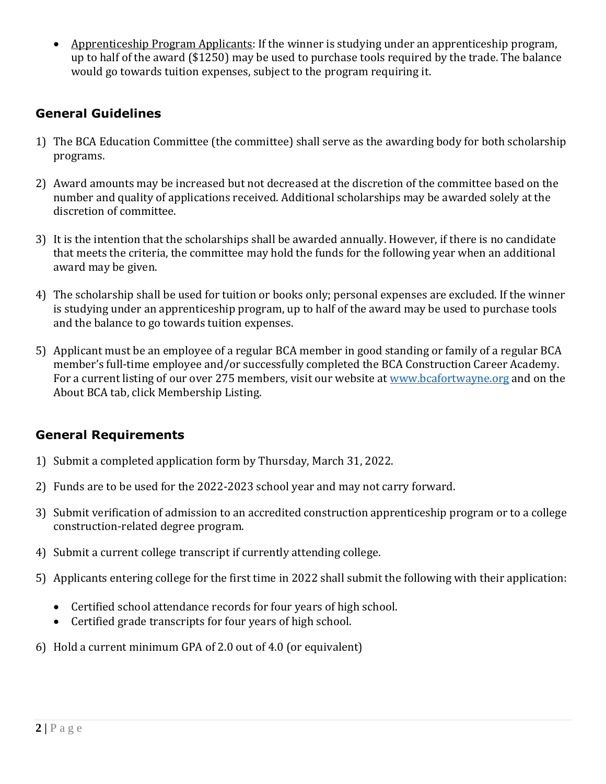• Apprenticeship Program Applicants: If the winner is studying under an apprenticeship program, up to half of the award (\$1250) may be used to purchase tools required by the trade. The balance would go towards tuition expenses, subject to the program requiring it.

### **General Guidelines**

- 1) The BCA Education Committee (the committee) shall serve as the awarding body for both scholarship programs.
- 2) Award amounts may be increased but not decreased at the discretion of the committee based on the number and quality of applications received. Additional scholarships may be awarded solely at the discretion of committee.
- 3) It is the intention that the scholarships shall be awarded annually. However, if there is no candidate that meets the criteria, the committee may hold the funds for the following year when an additional award may be given.
- 4) The scholarship shall be used for tuition or books only; personal expenses are excluded. If the winner is studying under an apprenticeship program, up to half of the award may be used to purchase tools and the balance to go towards tuition expenses.
- 5) Applicant must be an employee of a regular BCA member in good standing or family of a regular BCA member's full-time employee and/or successfully completed the BCA Construction Career Academy. For a current listing of our over 275 members, visit our website at [www.bcafortwayne.org](http://www.bcafortwayne.org/) and on the About BCA tab, click Membership Listing.

### **General Requirements**

- 1) Submit a completed application form by Thursday, March 31, 2022.
- 2) Funds are to be used for the 2022-2023 school year and may not carry forward.
- 3) Submit verification of admission to an accredited construction apprenticeship program or to a college construction-related degree program.
- 4) Submit a current college transcript if currently attending college.
- 5) Applicants entering college for the first time in 2022 shall submit the following with their application:
	- Certified school attendance records for four years of high school.
	- Certified grade transcripts for four years of high school.
- 6) Hold a current minimum GPA of 2.0 out of 4.0 (or equivalent)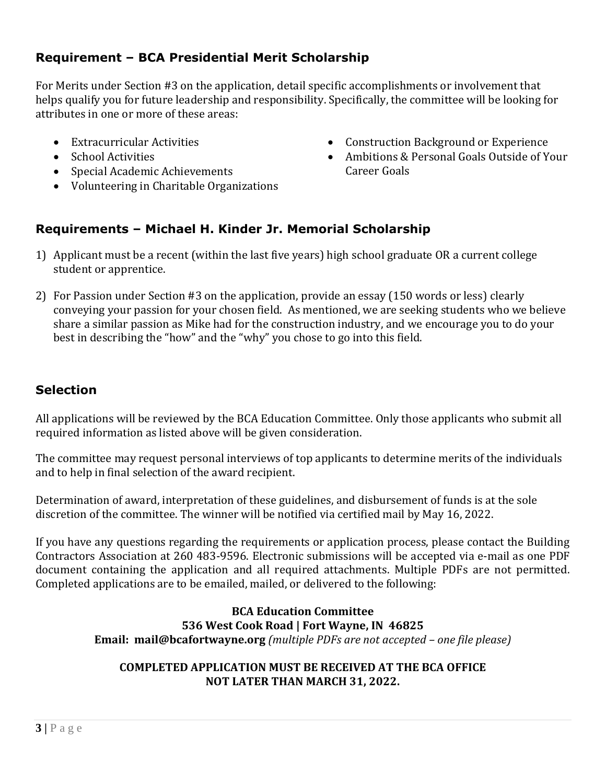### **Requirement – BCA Presidential Merit Scholarship**

For Merits under Section #3 on the application, detail specific accomplishments or involvement that helps qualify you for future leadership and responsibility. Specifically, the committee will be looking for attributes in one or more of these areas:

- Extracurricular Activities
- School Activities
- Special Academic Achievements
- Volunteering in Charitable Organizations
- Construction Background or Experience
- Ambitions & Personal Goals Outside of Your Career Goals

### **Requirements – Michael H. Kinder Jr. Memorial Scholarship**

- 1) Applicant must be a recent (within the last five years) high school graduate OR a current college student or apprentice.
- 2) For Passion under Section #3 on the application, provide an essay (150 words or less) clearly conveying your passion for your chosen field. As mentioned, we are seeking students who we believe share a similar passion as Mike had for the construction industry, and we encourage you to do your best in describing the "how" and the "why" you chose to go into this field.

### **Selection**

All applications will be reviewed by the BCA Education Committee. Only those applicants who submit all required information as listed above will be given consideration.

The committee may request personal interviews of top applicants to determine merits of the individuals and to help in final selection of the award recipient.

Determination of award, interpretation of these guidelines, and disbursement of funds is at the sole discretion of the committee. The winner will be notified via certified mail by May 16, 2022.

If you have any questions regarding the requirements or application process, please contact the Building Contractors Association at 260 483-9596. Electronic submissions will be accepted via e-mail as one PDF document containing the application and all required attachments. Multiple PDFs are not permitted. Completed applications are to be emailed, mailed, or delivered to the following:

#### **BCA Education Committee 536 West Cook Road | Fort Wayne, IN 46825 Email: mail@bcafortwayne.org** *(multiple PDFs are not accepted – one file please)*

#### **COMPLETED APPLICATION MUST BE RECEIVED AT THE BCA OFFICE NOT LATER THAN MARCH 31, 2022.**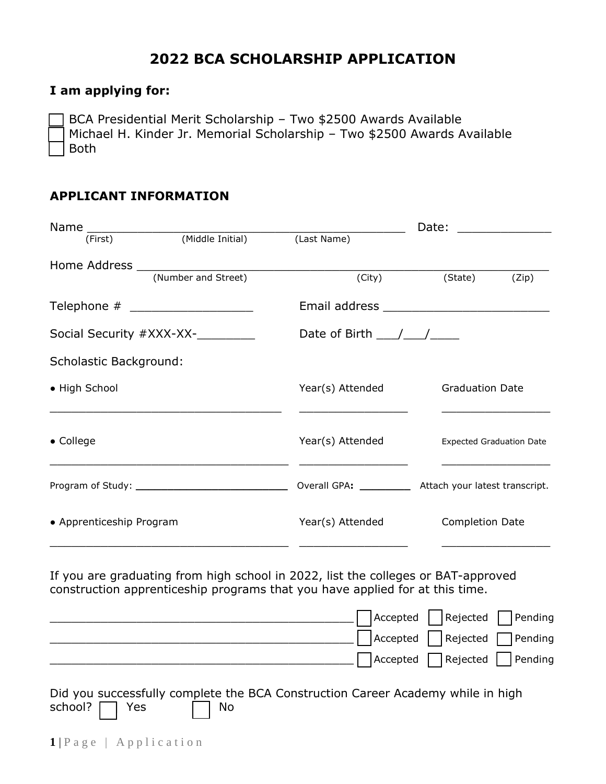### **2022 BCA SCHOLARSHIP APPLICATION**

#### **I am applying for:**

BCA Presidential Merit Scholarship - Two \$2500 Awards Available Michael H. Kinder Jr. Memorial Scholarship - Two \$2500 Awards Available Both

#### **APPLICANT INFORMATION**

|                               |                                   |                  | Date:<br><u> 1980 - John Harry Harry Harry Harry Harry Harry Harry Harry Harry Harry Harry Harry Harry Harry Harry Harry H</u> |  |  |  |
|-------------------------------|-----------------------------------|------------------|--------------------------------------------------------------------------------------------------------------------------------|--|--|--|
| (First)                       | (Middle Initial)                  | (Last Name)      |                                                                                                                                |  |  |  |
|                               |                                   |                  |                                                                                                                                |  |  |  |
|                               | (Number and Street)               | (City)           | (State)<br>(Zip)                                                                                                               |  |  |  |
|                               | Telephone # _____________________ |                  |                                                                                                                                |  |  |  |
|                               | Social Security #XXX-XX-_________ |                  | Date of Birth $\frac{1}{\sqrt{1-\frac{1}{2}}}$                                                                                 |  |  |  |
| <b>Scholastic Background:</b> |                                   |                  |                                                                                                                                |  |  |  |
| • High School                 |                                   | Year(s) Attended | <b>Graduation Date</b>                                                                                                         |  |  |  |
|                               |                                   |                  |                                                                                                                                |  |  |  |
| $\bullet$ College             |                                   | Year(s) Attended | <b>Expected Graduation Date</b>                                                                                                |  |  |  |
|                               |                                   |                  |                                                                                                                                |  |  |  |
| • Apprenticeship Program      |                                   | Year(s) Attended | <b>Completion Date</b>                                                                                                         |  |  |  |
|                               |                                   |                  |                                                                                                                                |  |  |  |

If you are graduating from high school in 2022, list the colleges or BAT-approved construction apprenticeship programs that you have applied for at this time.

|                                                                                 | $\bigcap$ Accepted $\bigcap$ Rejected $\bigcap$ Pending |  |
|---------------------------------------------------------------------------------|---------------------------------------------------------|--|
|                                                                                 | Accepted Rejected Pending                               |  |
|                                                                                 | Accepted Rejected Pending                               |  |
| Did you successfully complete the BCA Construction Career Academy while in high |                                                         |  |

school?  $\Box$  Yes  $\Box$  No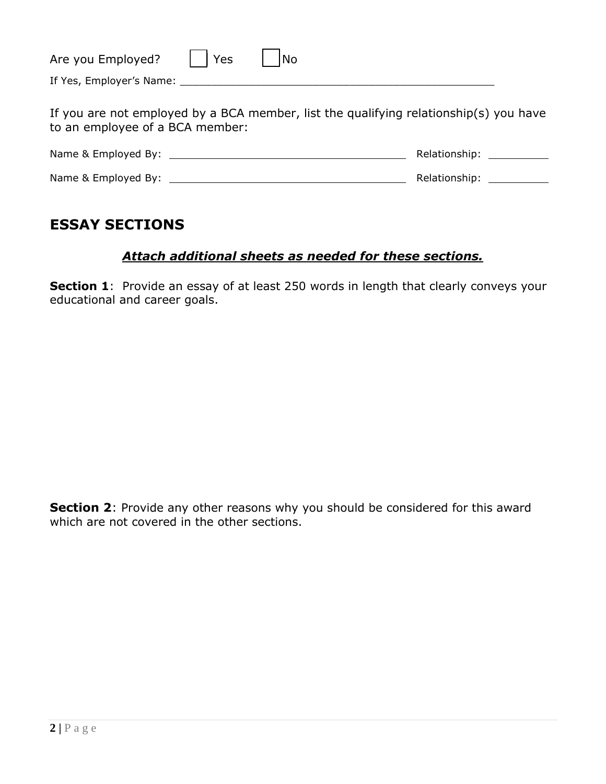| Are you Employed?                                                                                                        | Yes | <b>No</b> |  |  |
|--------------------------------------------------------------------------------------------------------------------------|-----|-----------|--|--|
|                                                                                                                          |     |           |  |  |
| If you are not employed by a BCA member, list the qualifying relationship(s) you have<br>to an employee of a BCA member: |     |           |  |  |
|                                                                                                                          |     |           |  |  |
|                                                                                                                          |     |           |  |  |
|                                                                                                                          |     |           |  |  |

## **ESSAY SECTIONS**

#### *Attach additional sheets as needed for these sections.*

**Section 1**: Provide an essay of at least 250 words in length that clearly conveys your educational and career goals.

**Section 2**: Provide any other reasons why you should be considered for this award which are not covered in the other sections.